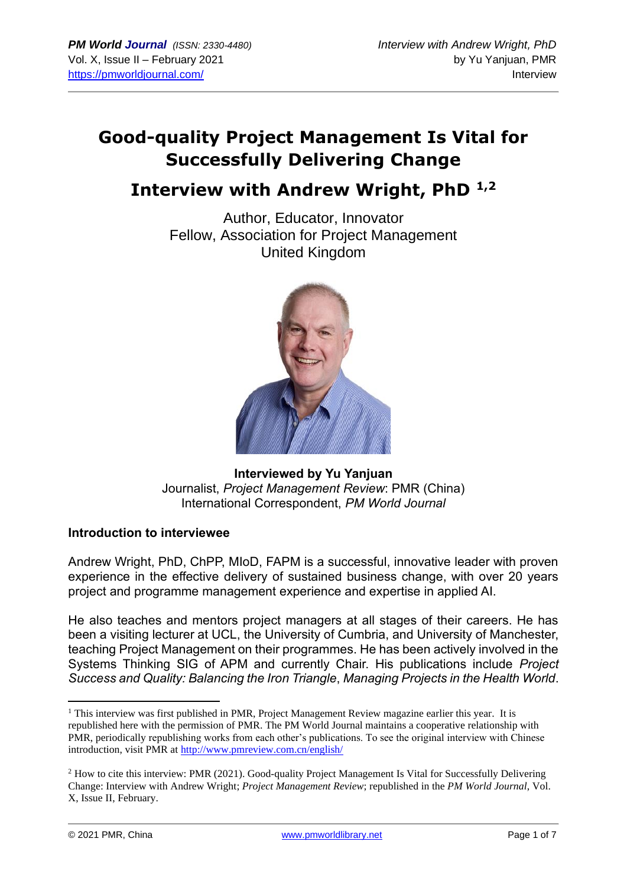# **Good-quality Project Management Is Vital for Successfully Delivering Change**

## **Interview with Andrew Wright, PhD 1,2**

Author, Educator, Innovator Fellow, Association for Project Management United Kingdom



**Interviewed by Yu Yanjuan** Journalist, *Project Management Review*: PMR (China) International Correspondent, *PM World Journal*

## **Introduction to interviewee**

Andrew Wright, PhD, ChPP, MIoD, FAPM is a successful, innovative leader with proven experience in the effective delivery of sustained business change, with over 20 years project and programme management experience and expertise in applied AI.

He also teaches and mentors project managers at all stages of their careers. He has been a visiting lecturer at UCL, the University of Cumbria, and University of Manchester, teaching Project Management on their programmes. He has been actively involved in the Systems Thinking SIG of APM and currently Chair. His publications include *Project Success and Quality: Balancing the Iron Triangle*, *Managing Projects in the Health World*.

<sup>&</sup>lt;sup>1</sup> This interview was first published in PMR, Project Management Review magazine earlier this year. It is republished here with the permission of PMR. The PM World Journal maintains a cooperative relationship with PMR, periodically republishing works from each other's publications. To see the original interview with Chinese introduction, visit PMR at<http://www.pmreview.com.cn/english/>

<sup>&</sup>lt;sup>2</sup> How to cite this interview: PMR (2021). Good-quality Project Management Is Vital for Successfully Delivering Change: Interview with Andrew Wright; *Project Management Review*; republished in the *PM World Journal*, Vol. X, Issue II, February.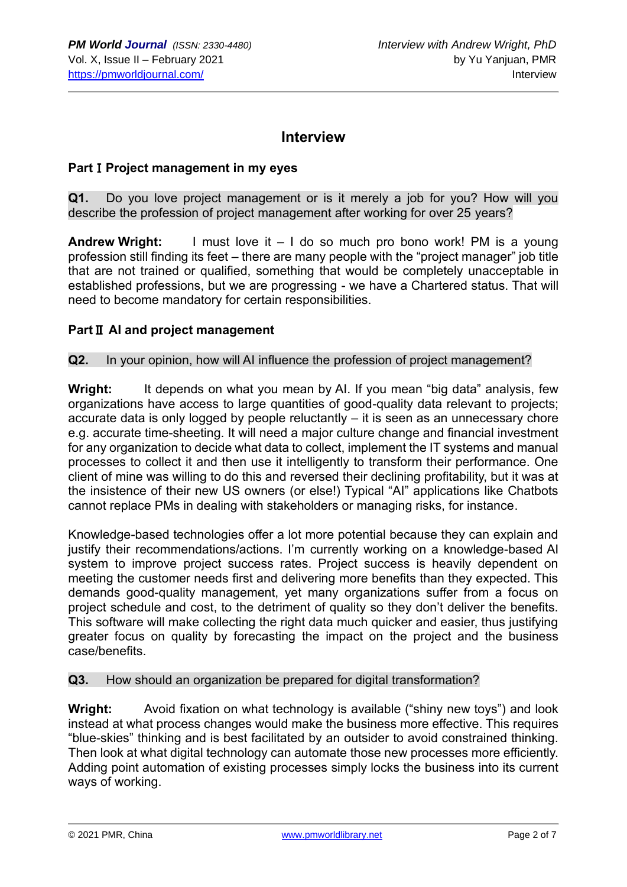## **Interview**

#### **Part**Ⅰ**Project management in my eyes**

**Q1.** Do you love project management or is it merely a job for you? How will you describe the profession of project management after working for over 25 years?

**Andrew Wright:** I must love it – I do so much pro bono work! PM is a young profession still finding its feet – there are many people with the "project manager" job title that are not trained or qualified, something that would be completely unacceptable in established professions, but we are progressing - we have a Chartered status. That will need to become mandatory for certain responsibilities.

#### **Part**Ⅱ **AI and project management**

#### **Q2.** In your opinion, how will AI influence the profession of project management?

**Wright:** It depends on what you mean by AI. If you mean "big data" analysis, few organizations have access to large quantities of good-quality data relevant to projects; accurate data is only logged by people reluctantly – it is seen as an unnecessary chore e.g. accurate time-sheeting. It will need a major culture change and financial investment for any organization to decide what data to collect, implement the IT systems and manual processes to collect it and then use it intelligently to transform their performance. One client of mine was willing to do this and reversed their declining profitability, but it was at the insistence of their new US owners (or else!) Typical "AI" applications like Chatbots cannot replace PMs in dealing with stakeholders or managing risks, for instance.

Knowledge-based technologies offer a lot more potential because they can explain and justify their recommendations/actions. I'm currently working on a knowledge-based AI system to improve project success rates. Project success is heavily dependent on meeting the customer needs first and delivering more benefits than they expected. This demands good-quality management, yet many organizations suffer from a focus on project schedule and cost, to the detriment of quality so they don't deliver the benefits. This software will make collecting the right data much quicker and easier, thus justifying greater focus on quality by forecasting the impact on the project and the business case/benefits.

## **Q3.** How should an organization be prepared for digital transformation?

**Wright:** Avoid fixation on what technology is available ("shiny new toys") and look instead at what process changes would make the business more effective. This requires "blue-skies" thinking and is best facilitated by an outsider to avoid constrained thinking. Then look at what digital technology can automate those new processes more efficiently. Adding point automation of existing processes simply locks the business into its current ways of working.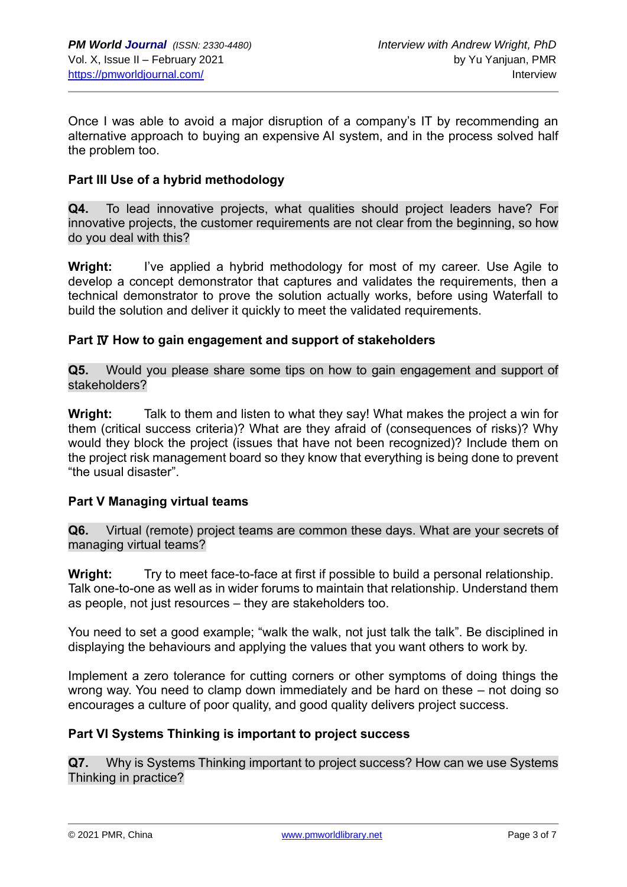Once I was able to avoid a major disruption of a company's IT by recommending an alternative approach to buying an expensive AI system, and in the process solved half the problem too.

## **Part III Use of a hybrid methodology**

**Q4.** To lead innovative projects, what qualities should project leaders have? For innovative projects, the customer requirements are not clear from the beginning, so how do you deal with this?

**Wright:** I've applied a hybrid methodology for most of my career. Use Agile to develop a concept demonstrator that captures and validates the requirements, then a technical demonstrator to prove the solution actually works, before using Waterfall to build the solution and deliver it quickly to meet the validated requirements.

#### **Part** Ⅳ **How to gain engagement and support of stakeholders**

**Q5.** Would you please share some tips on how to gain engagement and support of stakeholders?

**Wright:** Talk to them and listen to what they say! What makes the project a win for them (critical success criteria)? What are they afraid of (consequences of risks)? Why would they block the project (issues that have not been recognized)? Include them on the project risk management board so they know that everything is being done to prevent "the usual disaster".

## **Part V Managing virtual teams**

**Q6.** Virtual (remote) project teams are common these days. What are your secrets of managing virtual teams?

**Wright:** Try to meet face-to-face at first if possible to build a personal relationship. Talk one-to-one as well as in wider forums to maintain that relationship. Understand them as people, not just resources – they are stakeholders too.

You need to set a good example; "walk the walk, not just talk the talk". Be disciplined in displaying the behaviours and applying the values that you want others to work by.

Implement a zero tolerance for cutting corners or other symptoms of doing things the wrong way. You need to clamp down immediately and be hard on these – not doing so encourages a culture of poor quality, and good quality delivers project success.

## **Part VI Systems Thinking is important to project success**

**Q7.** Why is Systems Thinking important to project success? How can we use Systems Thinking in practice?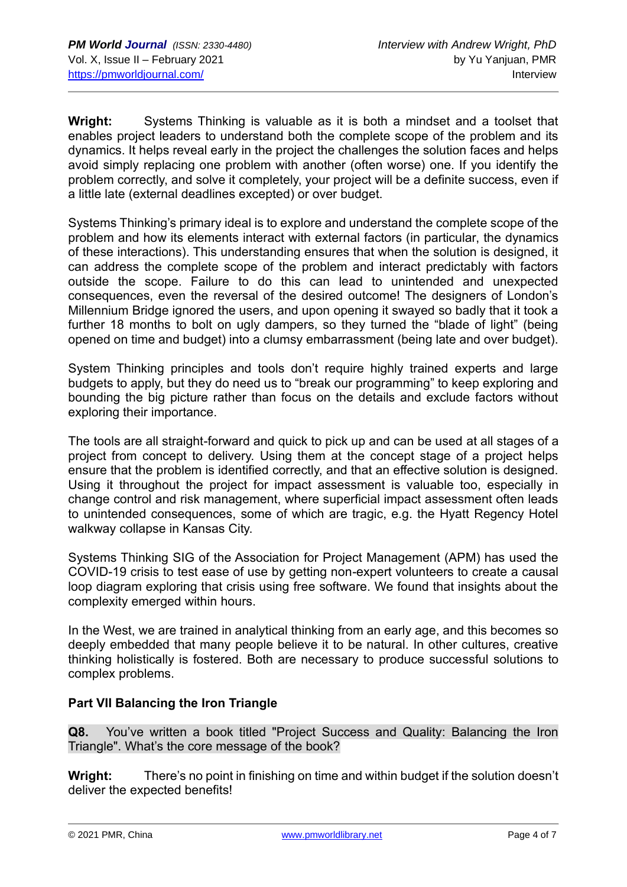**Wright:** Systems Thinking is valuable as it is both a mindset and a toolset that enables project leaders to understand both the complete scope of the problem and its dynamics. It helps reveal early in the project the challenges the solution faces and helps avoid simply replacing one problem with another (often worse) one. If you identify the problem correctly, and solve it completely, your project will be a definite success, even if a little late (external deadlines excepted) or over budget.

Systems Thinking's primary ideal is to explore and understand the complete scope of the problem and how its elements interact with external factors (in particular, the dynamics of these interactions). This understanding ensures that when the solution is designed, it can address the complete scope of the problem and interact predictably with factors outside the scope. Failure to do this can lead to unintended and unexpected consequences, even the reversal of the desired outcome! The designers of London's Millennium Bridge ignored the users, and upon opening it swayed so badly that it took a further 18 months to bolt on ugly dampers, so they turned the "blade of light" (being opened on time and budget) into a clumsy embarrassment (being late and over budget).

System Thinking principles and tools don't require highly trained experts and large budgets to apply, but they do need us to "break our programming" to keep exploring and bounding the big picture rather than focus on the details and exclude factors without exploring their importance.

The tools are all straight-forward and quick to pick up and can be used at all stages of a project from concept to delivery. Using them at the concept stage of a project helps ensure that the problem is identified correctly, and that an effective solution is designed. Using it throughout the project for impact assessment is valuable too, especially in change control and risk management, where superficial impact assessment often leads to unintended consequences, some of which are tragic, e.g. the Hyatt Regency Hotel walkway collapse in Kansas City.

Systems Thinking SIG of the Association for Project Management (APM) has used the COVID-19 crisis to test ease of use by getting non-expert volunteers to create a causal loop diagram exploring that crisis using free software. We found that insights about the complexity emerged within hours.

In the West, we are trained in analytical thinking from an early age, and this becomes so deeply embedded that many people believe it to be natural. In other cultures, creative thinking holistically is fostered. Both are necessary to produce successful solutions to complex problems.

## **Part VII Balancing the Iron Triangle**

**Q8.** You've written a book titled "Project Success and Quality: Balancing the Iron Triangle". What's the core message of the book?

**Wright:** There's no point in finishing on time and within budget if the solution doesn't deliver the expected benefits!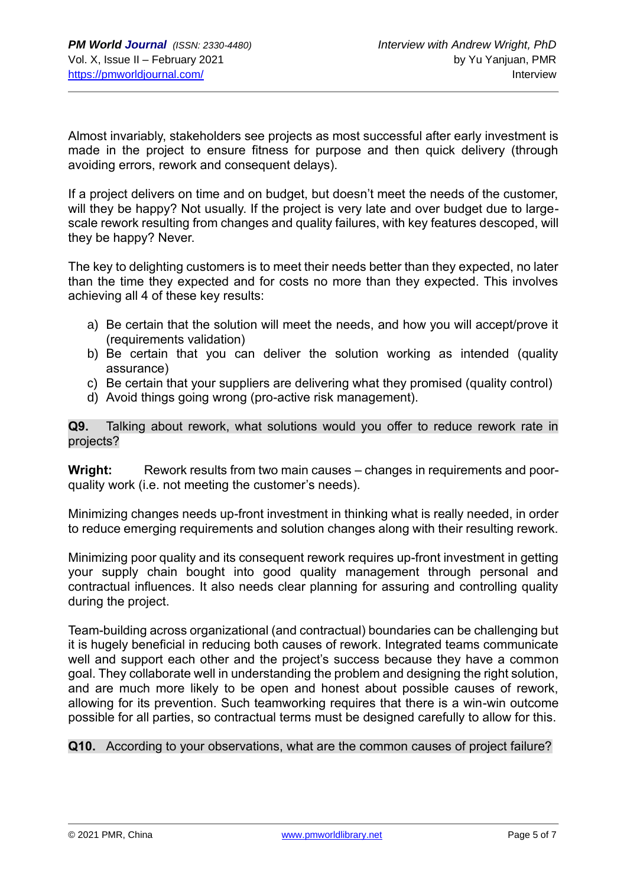Almost invariably, stakeholders see projects as most successful after early investment is made in the project to ensure fitness for purpose and then quick delivery (through avoiding errors, rework and consequent delays).

If a project delivers on time and on budget, but doesn't meet the needs of the customer, will they be happy? Not usually. If the project is very late and over budget due to largescale rework resulting from changes and quality failures, with key features descoped, will they be happy? Never.

The key to delighting customers is to meet their needs better than they expected, no later than the time they expected and for costs no more than they expected. This involves achieving all 4 of these key results:

- a) Be certain that the solution will meet the needs, and how you will accept/prove it (requirements validation)
- b) Be certain that you can deliver the solution working as intended (quality assurance)
- c) Be certain that your suppliers are delivering what they promised (quality control)
- d) Avoid things going wrong (pro-active risk management).

**Q9.** Talking about rework, what solutions would you offer to reduce rework rate in projects?

**Wright:** Rework results from two main causes – changes in requirements and poorquality work (i.e. not meeting the customer's needs).

Minimizing changes needs up-front investment in thinking what is really needed, in order to reduce emerging requirements and solution changes along with their resulting rework.

Minimizing poor quality and its consequent rework requires up-front investment in getting your supply chain bought into good quality management through personal and contractual influences. It also needs clear planning for assuring and controlling quality during the project.

Team-building across organizational (and contractual) boundaries can be challenging but it is hugely beneficial in reducing both causes of rework. Integrated teams communicate well and support each other and the project's success because they have a common goal. They collaborate well in understanding the problem and designing the right solution, and are much more likely to be open and honest about possible causes of rework, allowing for its prevention. Such teamworking requires that there is a win-win outcome possible for all parties, so contractual terms must be designed carefully to allow for this.

**Q10.** According to your observations, what are the common causes of project failure?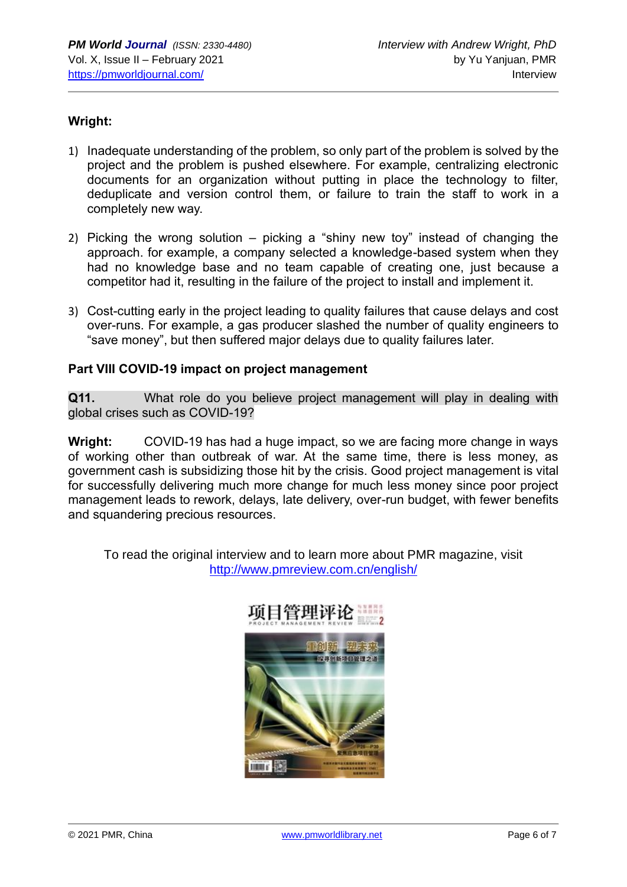## **Wright:**

- 1) Inadequate understanding of the problem, so only part of the problem is solved by the project and the problem is pushed elsewhere. For example, centralizing electronic documents for an organization without putting in place the technology to filter, deduplicate and version control them, or failure to train the staff to work in a completely new way.
- 2) Picking the wrong solution picking a "shiny new toy" instead of changing the approach. for example, a company selected a knowledge-based system when they had no knowledge base and no team capable of creating one, just because a competitor had it, resulting in the failure of the project to install and implement it.
- 3) Cost-cutting early in the project leading to quality failures that cause delays and cost over-runs. For example, a gas producer slashed the number of quality engineers to "save money", but then suffered major delays due to quality failures later.

#### **Part VIII COVID-19 impact on project management**

**Q11.** What role do you believe project management will play in dealing with global crises such as COVID-19?

**Wright:** COVID-19 has had a huge impact, so we are facing more change in ways of working other than outbreak of war. At the same time, there is less money, as government cash is subsidizing those hit by the crisis. Good project management is vital for successfully delivering much more change for much less money since poor project management leads to rework, delays, late delivery, over-run budget, with fewer benefits and squandering precious resources.

To read the original interview and to learn more about PMR magazine, visit <http://www.pmreview.com.cn/english/>